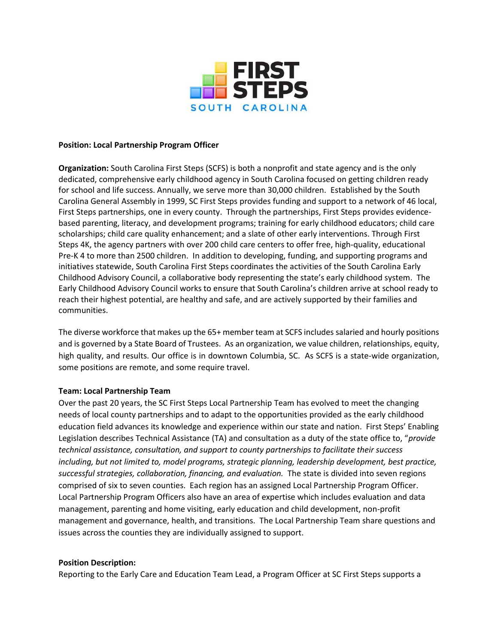

#### **Position: Local Partnership Program Officer**

**Organization:** South Carolina First Steps (SCFS) is both a nonprofit and state agency and is the only dedicated, comprehensive early childhood agency in South Carolina focused on getting children ready for school and life success. Annually, we serve more than 30,000 children. Established by the South Carolina General Assembly in 1999, SC First Steps provides funding and support to a network of 46 local, First Steps partnerships, one in every county. Through the partnerships, First Steps provides evidencebased parenting, literacy, and development programs; training for early childhood educators; child care scholarships; child care quality enhancement; and a slate of other early interventions. Through First Steps 4K, the agency partners with over 200 child care centers to offer free, high-quality, educational Pre-K 4 to more than 2500 children. In addition to developing, funding, and supporting programs and initiatives statewide, South Carolina First Steps coordinates the activities of the South Carolina Early Childhood Advisory Council, a collaborative body representing the state's early childhood system. The Early Childhood Advisory Council works to ensure that South Carolina's children arrive at school ready to reach their highest potential, are healthy and safe, and are actively supported by their families and communities.

The diverse workforce that makes up the 65+ member team at SCFS includes salaried and hourly positions and is governed by a State Board of Trustees. As an organization, we value children, relationships, equity, high quality, and results. Our office is in downtown Columbia, SC. As SCFS is a state-wide organization, some positions are remote, and some require travel.

## **Team: Local Partnership Team**

Over the past 20 years, the SC First Steps Local Partnership Team has evolved to meet the changing needs of local county partnerships and to adapt to the opportunities provided as the early childhood education field advances its knowledge and experience within our state and nation. First Steps' Enabling Legislation describes Technical Assistance (TA) and consultation as a duty of the state office to, "*provide technical assistance, consultation, and support to county partnerships to facilitate their success including, but not limited to, model programs, strategic planning, leadership development, best practice, successful strategies, collaboration, financing, and evaluation.* The state is divided into seven regions comprised of six to seven counties. Each region has an assigned Local Partnership Program Officer. Local Partnership Program Officers also have an area of expertise which includes evaluation and data management, parenting and home visiting, early education and child development, non-profit management and governance, health, and transitions. The Local Partnership Team share questions and issues across the counties they are individually assigned to support.

## **Position Description:**

Reporting to the Early Care and Education Team Lead, a Program Officer at SC First Steps supports a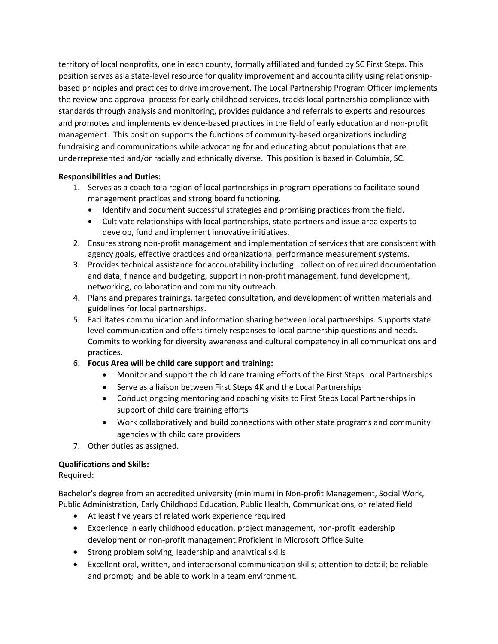territory of local nonprofits, one in each county, formally affiliated and funded by SC First Steps. This position serves as a state-level resource for quality improvement and accountability using relationshipbased principles and practices to drive improvement. The Local Partnership Program Officer implements the review and approval process for early childhood services, tracks local partnership compliance with standards through analysis and monitoring, provides guidance and referrals to experts and resources and promotes and implements evidence-based practices in the field of early education and non-profit management. This position supports the functions of community-based organizations including fundraising and communications while advocating for and educating about populations that are underrepresented and/or racially and ethnically diverse. This position is based in Columbia, SC.

# **Responsibilities and Duties:**

- 1. Serves as a coach to a region of local partnerships in program operations to facilitate sound management practices and strong board functioning.
	- Identify and document successful strategies and promising practices from the field.
	- Cultivate relationships with local partnerships, state partners and issue area experts to develop, fund and implement innovative initiatives.
- 2. Ensures strong non-profit management and implementation of services that are consistent with agency goals, effective practices and organizational performance measurement systems.
- 3. Provides technical assistance for accountability including: collection of required documentation and data, finance and budgeting, support in non-profit management, fund development, networking, collaboration and community outreach.
- 4. Plans and prepares trainings, targeted consultation, and development of written materials and guidelines for local partnerships.
- 5. Facilitates communication and information sharing between local partnerships. Supports state level communication and offers timely responses to local partnership questions and needs. Commits to working for diversity awareness and cultural competency in all communications and practices.
- 6. **Focus Area will be child care support and training:**
	- Monitor and support the child care training efforts of the First Steps Local Partnerships
	- Serve as a liaison between First Steps 4K and the Local Partnerships
	- Conduct ongoing mentoring and coaching visits to First Steps Local Partnerships in support of child care training efforts
	- Work collaboratively and build connections with other state programs and community agencies with child care providers
- 7. Other duties as assigned.

# **Qualifications and Skills:**

Required:

Bachelor's degree from an accredited university (minimum) in Non-profit Management, Social Work, Public Administration, Early Childhood Education, Public Health, Communications, or related field

- At least five years of related work experience required
- Experience in early childhood education, project management, non-profit leadership development or non-profit management.Proficient in Microsoft Office Suite
- Strong problem solving, leadership and analytical skills
- Excellent oral, written, and interpersonal communication skills; attention to detail; be reliable and prompt; and be able to work in a team environment.